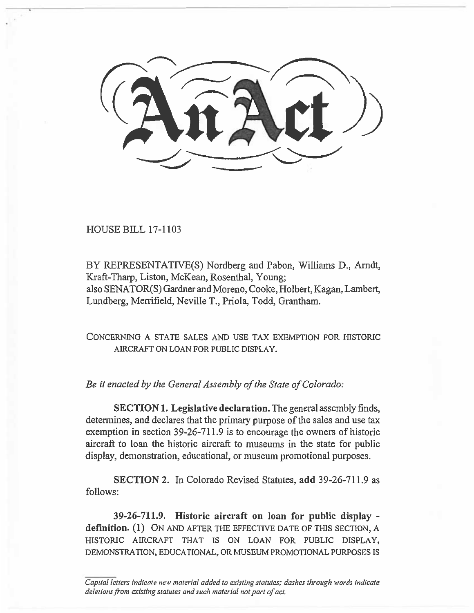HOUSE BILL 17-1103

BY REPRESENTATIVE(S) Nordberg and Pabon, Williams D., Arndt, Kraft-Tharp, Liston, McKean, Rosenthal, Young; also SENATOR(S) Gardner and Moreno, Cooke, Holbert, Kagan, Lambert, Lundberg, Merrifield, Neville T., Priola, Todd, Grantham.

CONCERNING A STATE SALES AND USE TAX EXEMPTION FOR HISTORIC AIRCRAFT ON LOAN FOR PUBLIC DISPLAY.

*Be it enacted by the General Assembly of the State of Colorado:* 

**SECTION1. Legislative declaration.** The general assembly finds, determines, and declares that the primary purpose of the sales and use tax exemption in section 39-26-711.9 is to encourage the owners of historic aircraft to loan the historic aircraft to museums in the state for public display, demonstration, educational, or museum promotional purposes.

**SECTION 2.** In Colorado Revised Statutes, **add** 39-26-711.9 as follows:

**39-26-711.9. Historic aircraft on loan for public display definition. (1)** ON AND AFTER THE EFFECTIVE DATE OF THIS SECTION, A HISTORIC AIRCRAFT THAT IS ON LOAN FOR PUBLIC DISPLAY, DEMONSTRATION, EDUCATIONAL, OR MUSEUM PROMOTIONAL PURPOSES IS

*Capital letters indicate new material added to existing statutes; dashes through words indicate deletions from existing statutes and such material not part of act.*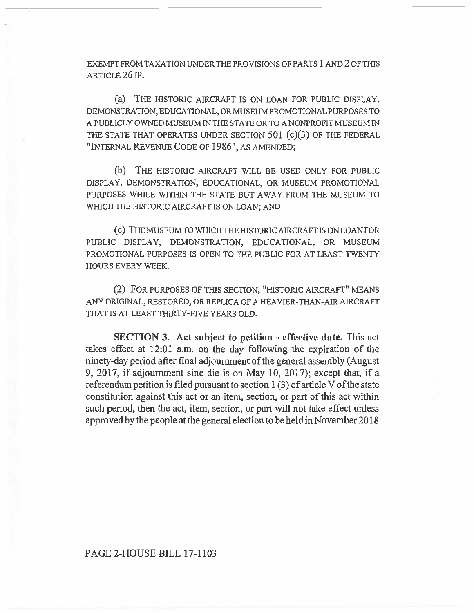EXEMPT FROM TAXATION UNDER THE PROVISIONS OF PARTS 1 AND 2 OF THIS ARTICLE 26 IF:

(a) THE HISTORIC AIRCRAFT IS ON LOAN FOR PUBLIC DISPLAY, DEMONSTRATION, EDUCATIONAL, OR MUSEUM PROMOTIONAL PURPOSES TO A PUBLICLY OWNED MUSEUM IN THE STATE OR TO A NONPROFIT MUSEUM IN THE STATE THAT OPERATES UNDER SECTION 501 (c)(3) OF THE FEDERAL "INTERNAL REVENUE CODE OF 1986", AS AMENDED;

(b) THE HISTORIC AIRCRAFT WILL BE USED ONLY FOR PUBLIC DISPLAY, DEMONSTRATION, EDUCATIONAL, OR MUSEUM PROMOTIONAL PURPOSES WHILE WITHIN THE STATE BUT AWAY FROM THE MUSEUM TO WHICH THE HISTORIC AIRCRAFT IS ON LOAN; AND

(c) THE MUSEUM TO WHICH THE HISTORIC AIRCRAFT IS ON LOAN FOR PUBLIC DISPLAY, DEMONSTRATION, EDUCATIONAL, OR MUSEUM PROMOTIONAL PURPOSES IS OPEN TO THE PUBLIC FOR AT LEAST TWENTY HOURS EVERY WEEK.

(2) FOR PURPOSES OF THIS SECTION, "HISTORIC AIRCRAFT" MEANS ANY ORIGINAL, RESTORED, OR REPLICA OF A HEAVIER-THAN-AIR AIRCRAFT THAT IS AT LEAST THIRTY-FIVE YEARS OLD.

**SECTION 3. Act subject to petition - effective date.** This act takes effect at 12:01 a.m. on the day following the expiration of the ninety-day period after final adjournment of the general assembly (August 9, 2017, if adjournment sine die is on May 10, 2017); except that, if a referendum petition is filed pursuant to section 1 (3) of article V of the state constitution against this act or an item, section, or part of this act within such period, then the act, item, section, or part will not take effect unless approved by the people at the general election to be held in November 2018

PAGE 2-HOUSE BILL 17-1103